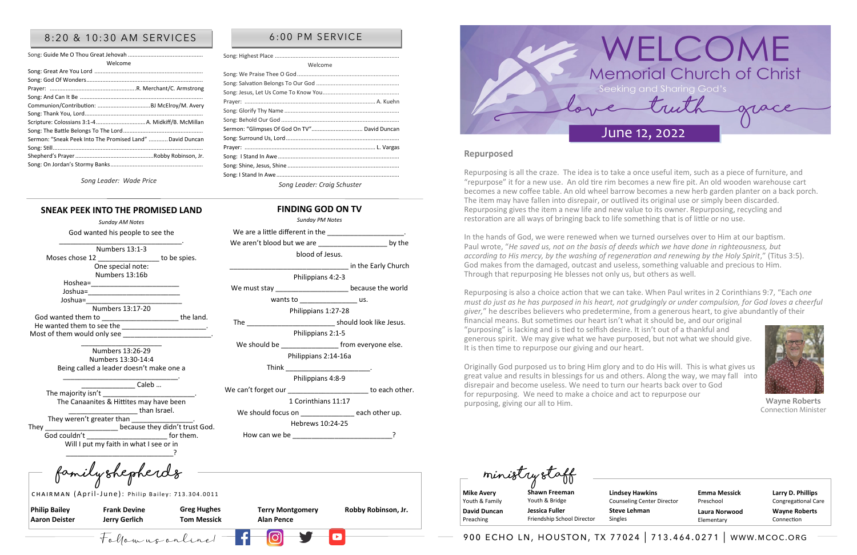**Philip Bailey Aaron Deister** 

**Frank Devine Jerry Gerlich**

**Terry Montgomery Alan Pence** 

**Greg Hughes Tom Messick** 

**Robby Robinson, Jr.** 

**Family Shepherds Ministry Staff**

CHAIRMAN (April-June): Philip Bailey: 713.304.0011

**Mike Avery**  Youth & Family **David Duncan**  Preaching

**Larry D. Phillips** Congregational Care **Wayne Roberts** Connection

**Shawn Freeman** Youth & Bridge **Jessica Fuller** 

Friendship School Director

**Emma Messick** Preschool **Laura Norwood** Elementary



## 8:20 & 10:30 AM SERVICES | 6:00 PM SERVICE

| Welcome                                                   |
|-----------------------------------------------------------|
|                                                           |
|                                                           |
|                                                           |
|                                                           |
|                                                           |
|                                                           |
| Scripture: Colossians 3:1-4  A. Midkiff/B. McMillan       |
|                                                           |
| Sermon: "Sneak Peek Into The Promised Land"  David Duncan |
|                                                           |
|                                                           |
|                                                           |
|                                                           |

*Song Leader: Wade Price*

The majority isn't The Canaanites & Hittites may have been \_\_\_\_\_\_\_\_\_\_\_\_\_\_\_\_\_\_ than Israel.

Welcome

They weren't greater than They **Example 2** because they didn't trust God. God couldn't example of them. Will I put my faith in what I see or in \_\_\_\_\_\_\_\_\_\_\_\_\_\_\_\_\_\_\_\_\_\_\_\_\_\_\_\_?

We aren't blood but we are **Land as a set of the by the** blood of Jesus.

Song: Salvation Belongs To Our God .................................................... Song: Jesus, Let Us Come To Know You................................................ Prayer: .................................................................................. A. Kuehn

The **The Europe Contract Contract Should look like Jesus.** Philippians 2:1-5

We should be else that the should be the should be the state of the should be the state of the state of the state of the state of the state of the state of the state of the state of the state of the state of the state of t

Song: Glorify Thy Name ........................................................................ Song: Behold Our God ..........................................................................

We are a little different in the

We must stay \_\_\_\_\_\_\_\_\_\_\_\_\_\_\_\_\_\_\_\_\_\_\_\_\_ because the world

wants to us.

Sermon: "Glimpses Of God On TV"................................ David Duncan Song: Surround Us, Lord....................................................................... Prayer: .................................................................................. L. Vargas Song: I Stand In Awe ............................................................................ Song: Shine, Jesus, Shine ......................................................................

> Repurposing is also a choice action that we can take. When Paul writes in 2 Corinthians 9:7, "Each *one must do just as he has purposed in his heart, not grudgingly or under compulsion, for God loves a cheerful giver,*" he describes believers who predetermine, from a generous heart, to give abundantly of their financial means. But sometimes our heart isn't what it should be, and our original "purposing" is lacking and is tied to selfish desire. It isn't out of a thankful and generous spirit. We may give what we have purposed, but not what we should give. It is then time to repurpose our giving and our heart.

*Song Leader: Craig Schuster*

## **SNEAK PEEK INTO THE PROMISED LAND** *Sunday AM Notes*

#### God wanted his people to see the \_\_\_\_\_\_\_\_\_\_\_\_\_\_\_\_\_\_\_\_\_\_\_\_\_\_\_\_\_\_\_\_. Numbers 13:1-3 Moses chose 12 **b** to be spies. One special note: Numbers 13:16b Hoshea=\_\_\_\_\_\_\_\_\_\_\_\_\_\_\_\_\_\_\_\_\_\_\_ Joshua=\_\_\_\_\_\_\_\_\_\_\_\_\_\_\_\_\_\_\_\_\_\_\_\_ Joshua=\_\_\_\_\_\_\_\_\_\_\_\_\_\_\_\_\_\_\_\_\_\_\_\_\_ Numbers 13:17-20 God wanted them to example the land. He wanted them to see the Most of them would only see \_\_ \_\_\_\_\_\_\_\_\_\_\_\_\_\_\_\_\_\_\_\_\_

Numbers 13:26-29 Numbers 13:30-14:4 Being called a leader doesn't make one a

\_\_\_\_\_\_\_\_\_\_\_\_\_\_\_\_\_\_\_\_\_\_\_\_\_\_\_\_\_\_.

Caleb …

**FINDING GOD ON TV** *Sunday PM Notes* 

Philippians 4:2-3

in the Early Church

Philippians 1:27-28

Philippians 2:14-16a

Think \_\_\_\_\_\_\_\_\_\_\_\_\_\_\_\_\_\_\_\_\_\_.

Philippians 4:8-9

We can't forget our example of the case of the case of the case of the case of the case of the case of the case of the case of the case of the case of the case of the case of the case of the case of the case of the case of

1 Corinthians 11:17

We should focus on each other up.

Hebrews 10:24-25

How can we be

Song: Highest Place ......

Song: I Stand In Awe...

Song: We Praise Thee O God....



**Lindsey Hawkins** Counseling Center Director **Steve Lehman**

Singles

 $F_0$  (  $F_0$  and  $F_1$   $\begin{bmatrix} 0 & 1 \end{bmatrix}$   $\begin{bmatrix} 0 & 1 \end{bmatrix}$   $\begin{bmatrix} 0 & 1 \end{bmatrix}$   $\begin{bmatrix} 0 & 1 \end{bmatrix}$   $\begin{bmatrix} 0 & 1 \end{bmatrix}$   $\begin{bmatrix} 0 & 1 \end{bmatrix}$   $\begin{bmatrix} 0 & 1 \end{bmatrix}$   $\begin{bmatrix} 0 & 1 \end{bmatrix}$   $\begin{bmatrix} 0 & 1 \end{bmatrix}$   $\begin{bmatrix} 0 & 1 \end{bmatrix$ 

## **Repurposed**

Repurposing is all the craze. The idea is to take a once useful item, such as a piece of furniture, and "repurpose" it for a new use. An old tire rim becomes a new fire pit. An old wooden warehouse cart becomes a new coffee table. An old wheel barrow becomes a new herb garden planter on a back porch. The item may have fallen into disrepair, or outlived its original use or simply been discarded. Repurposing gives the item a new life and new value to its owner. Repurposing, recycling and restoration are all ways of bringing back to life something that is of little or no use.

In the hands of God, we were renewed when we turned ourselves over to Him at our baptism. Paul wrote, "*He saved us, not on the basis of deeds which we have done in righteousness, but according to His mercy, by the washing of regeneration and renewing by the Holy Spirit*," (Titus 3:5). God makes from the damaged, outcast and useless, something valuable and precious to Him. Through that repurposing He blesses not only us, but others as well.

Originally God purposed us to bring Him glory and to do His will. This is what gives us great value and results in blessings for us and others. Along the way, we may fall into disrepair and become useless. We need to turn our hearts back over to God for repurposing. We need to make a choice and act to repurpose our purposing, giving our all to Him. **Wayne Roberts** Connection Minister